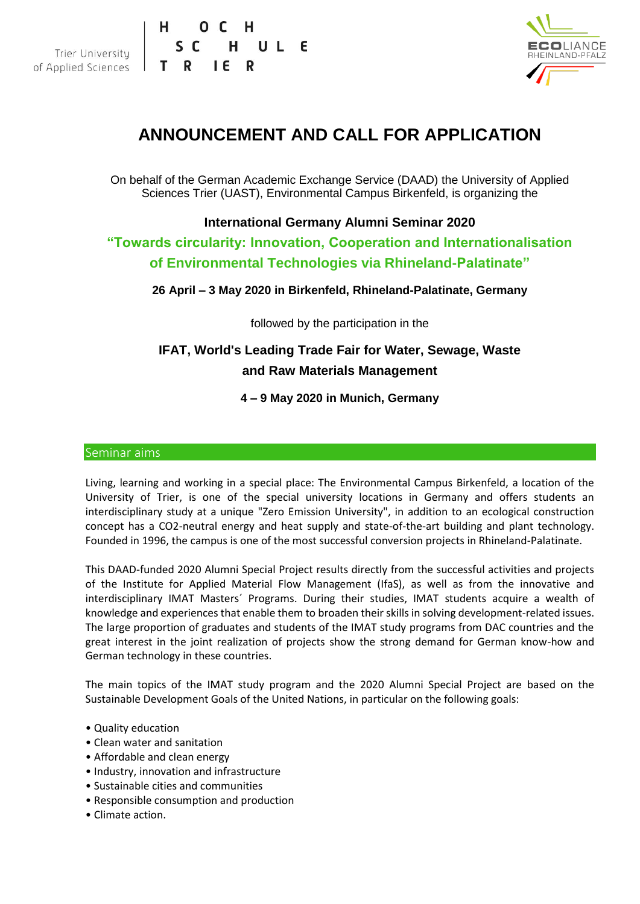

# **ANNOUNCEMENT AND CALL FOR APPLICATION**

On behalf of the German Academic Exchange Service (DAAD) the University of Applied Sciences Trier (UAST), Environmental Campus Birkenfeld, is organizing the

# **International Germany Alumni Seminar 2020 "Towards circularity: Innovation, Cooperation and Internationalisation of Environmental Technologies via Rhineland-Palatinate"**

**26 April – 3 May 2020 in Birkenfeld, Rhineland-Palatinate, Germany**

followed by the participation in the

# **IFAT, World's Leading Trade Fair for Water, Sewage, Waste and Raw Materials Management**

**4 – 9 May 2020 in Munich, Germany**

# Seminar aims

Living, learning and working in a special place: The Environmental Campus Birkenfeld, a location of the University of Trier, is one of the special university locations in Germany and offers students an interdisciplinary study at a unique "Zero Emission University", in addition to an ecological construction concept has a CO2-neutral energy and heat supply and state-of-the-art building and plant technology. Founded in 1996, the campus is one of the most successful conversion projects in Rhineland-Palatinate.

This DAAD-funded 2020 Alumni Special Project results directly from the successful activities and projects of the Institute for Applied Material Flow Management (IfaS), as well as from the innovative and interdisciplinary IMAT Masters´ Programs. During their studies, IMAT students acquire a wealth of knowledge and experiences that enable them to broaden their skills in solving development-related issues. The large proportion of graduates and students of the IMAT study programs from DAC countries and the great interest in the joint realization of projects show the strong demand for German know-how and German technology in these countries.

The main topics of the IMAT study program and the 2020 Alumni Special Project are based on the Sustainable Development Goals of the United Nations, in particular on the following goals:

- Quality education
- Clean water and sanitation
- Affordable and clean energy
- Industry, innovation and infrastructure
- Sustainable cities and communities
- Responsible consumption and production
- Climate action.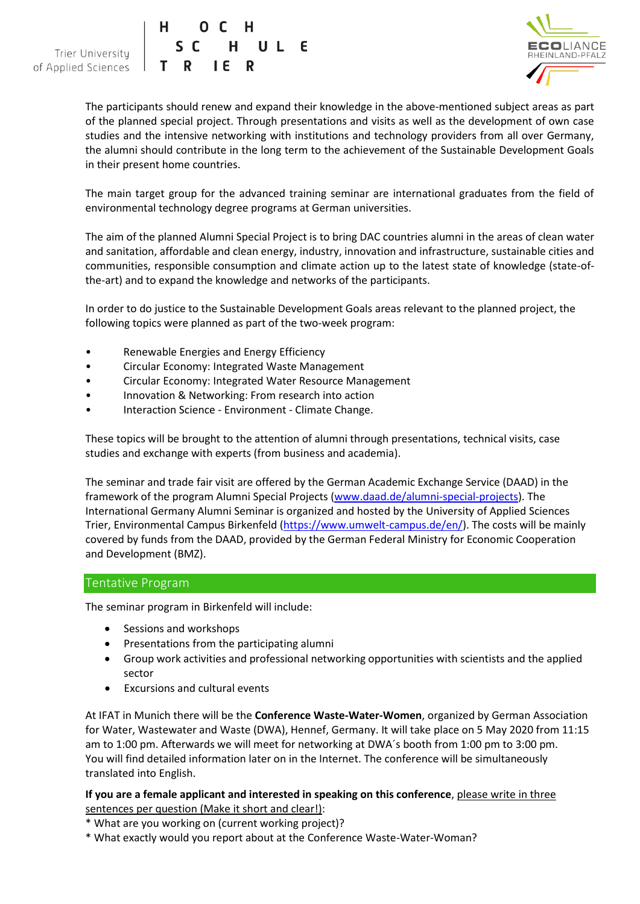Trier University of Applied Sciences H O C SC HUL  $\mathbf{R}$ IE R Т



The participants should renew and expand their knowledge in the above-mentioned subject areas as part of the planned special project. Through presentations and visits as well as the development of own case studies and the intensive networking with institutions and technology providers from all over Germany, the alumni should contribute in the long term to the achievement of the Sustainable Development Goals in their present home countries.

The main target group for the advanced training seminar are international graduates from the field of environmental technology degree programs at German universities.

The aim of the planned Alumni Special Project is to bring DAC countries alumni in the areas of clean water and sanitation, affordable and clean energy, industry, innovation and infrastructure, sustainable cities and communities, responsible consumption and climate action up to the latest state of knowledge (state-ofthe-art) and to expand the knowledge and networks of the participants.

In order to do justice to the Sustainable Development Goals areas relevant to the planned project, the following topics were planned as part of the two-week program:

- Renewable Energies and Energy Efficiency
- Circular Economy: Integrated Waste Management
- Circular Economy: Integrated Water Resource Management
- Innovation & Networking: From research into action
- Interaction Science Environment Climate Change.

These topics will be brought to the attention of alumni through presentations, technical visits, case studies and exchange with experts (from business and academia).

The seminar and trade fair visit are offered by the German Academic Exchange Service (DAAD) in the framework of the program Alumni Special Projects [\(www.daad.de/alumni-special-projects\)](http://www.daad.de/alumni-special-projects). The International Germany Alumni Seminar is organized and hosted by the University of Applied Sciences Trier, Environmental Campus Birkenfeld [\(https://www.umwelt-campus.de/en/\)](https://www.umwelt-campus.de/en/). The costs will be mainly covered by funds from the DAAD, provided by the German Federal Ministry for Economic Cooperation and Development (BMZ).

#### Tentative Program

The seminar program in Birkenfeld will include:

- Sessions and workshops
- Presentations from the participating alumni
- Group work activities and professional networking opportunities with scientists and the applied sector
- Excursions and cultural events

At IFAT in Munich there will be the **Conference Waste-Water-Women**, organized by German Association for Water, Wastewater and Waste (DWA), Hennef, Germany. It will take place on 5 May 2020 from 11:15 am to 1:00 pm. Afterwards we will meet for networking at DWA´s booth from 1:00 pm to 3:00 pm. You will find detailed information later on in the Internet. The conference will be simultaneously translated into English.

**If you are a female applicant and interested in speaking on this conference**, please write in three sentences per question (Make it short and clear!):

\* What are you working on (current working project)?

\* What exactly would you report about at the Conference Waste-Water-Woman?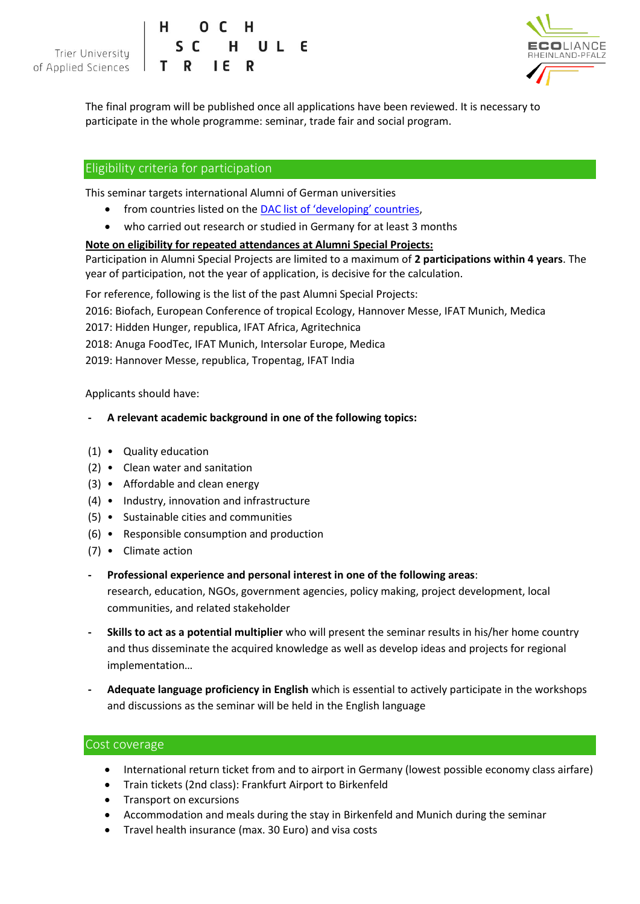



The final program will be published once all applications have been reviewed. It is necessary to participate in the whole programme: seminar, trade fair and social program.

# Eligibility criteria for participation

This seminar targets international Alumni of German universities

- from countries listed on the [DAC list of 'developing' countries](http://www.oecd.org/dac/financing-sustainable-development/development-finance-standards/DAC-List-of-ODA-Recipients-for-reporting-2020-flows.pdf),
- who carried out research or studied in Germany for at least 3 months

#### **Note on eligibility for repeated attendances at Alumni Special Projects:**

Participation in Alumni Special Projects are limited to a maximum of **2 participations within 4 years**. The year of participation, not the year of application, is decisive for the calculation.

For reference, following is the list of the past Alumni Special Projects:

2016: Biofach, European Conference of tropical Ecology, Hannover Messe, IFAT Munich, Medica

2017: Hidden Hunger, republica, IFAT Africa, Agritechnica

2018: Anuga FoodTec, IFAT Munich, Intersolar Europe, Medica

2019: Hannover Messe, republica, Tropentag, IFAT India

Applicants should have:

### **- A relevant academic background in one of the following topics:**

- (1) Quality education
- (2) Clean water and sanitation
- (3) Affordable and clean energy
- (4) Industry, innovation and infrastructure
- (5) Sustainable cities and communities
- (6) Responsible consumption and production
- (7) Climate action
- **- Professional experience and personal interest in one of the following areas**:

research, education, NGOs, government agencies, policy making, project development, local communities, and related stakeholder

- **- Skills to act as a potential multiplier** who will present the seminar results in his/her home country and thus disseminate the acquired knowledge as well as develop ideas and projects for regional implementation…
- **- Adequate language proficiency in English** which is essential to actively participate in the workshops and discussions as the seminar will be held in the English language

#### Cost coverage

- International return ticket from and to airport in Germany (lowest possible economy class airfare)
- Train tickets (2nd class): Frankfurt Airport to Birkenfeld
- Transport on excursions
- Accommodation and meals during the stay in Birkenfeld and Munich during the seminar
- Travel health insurance (max. 30 Euro) and visa costs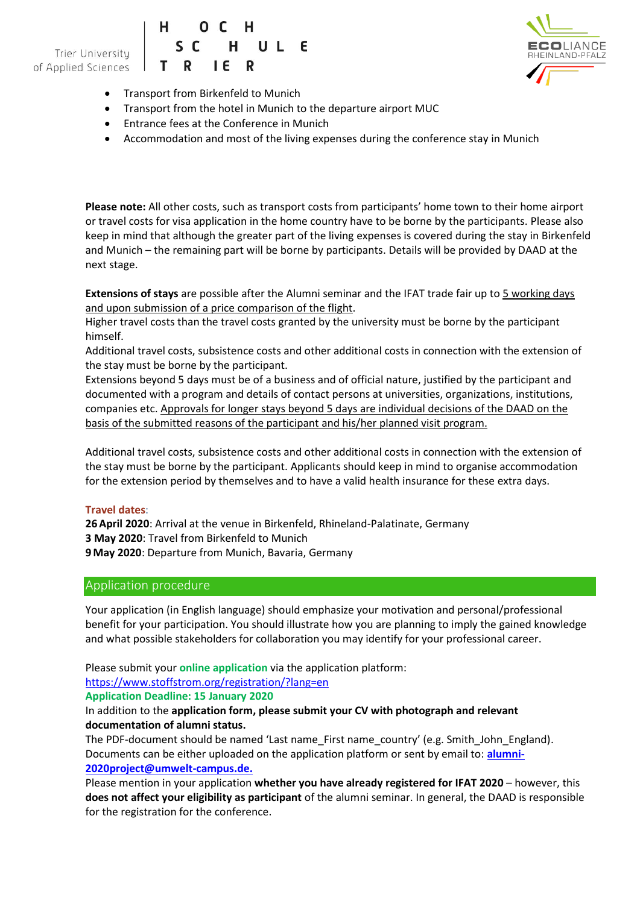Trier University Τ R of Applied Sciences





- Transport from Birkenfeld to Munich
- Transport from the hotel in Munich to the departure airport MUC
- Entrance fees at the Conference in Munich
- Accommodation and most of the living expenses during the conference stay in Munich

**Please note:** All other costs, such as transport costs from participants' home town to their home airport or travel costs for visa application in the home country have to be borne by the participants. Please also keep in mind that although the greater part of the living expenses is covered during the stay in Birkenfeld and Munich – the remaining part will be borne by participants. Details will be provided by DAAD at the next stage.

**Extensions of stays** are possible after the Alumni seminar and the IFAT trade fair up to 5 working days and upon submission of a price comparison of the flight.

Higher travel costs than the travel costs granted by the university must be borne by the participant himself.

Additional travel costs, subsistence costs and other additional costs in connection with the extension of the stay must be borne by the participant.

Extensions beyond 5 days must be of a business and of official nature, justified by the participant and documented with a program and details of contact persons at universities, organizations, institutions, companies etc. Approvals for longer stays beyond 5 days are individual decisions of the DAAD on the basis of the submitted reasons of the participant and his/her planned visit program.

Additional travel costs, subsistence costs and other additional costs in connection with the extension of the stay must be borne by the participant. Applicants should keep in mind to organise accommodation for the extension period by themselves and to have a valid health insurance for these extra days.

#### **Travel dates**:

**26April 2020**: Arrival at the venue in Birkenfeld, Rhineland-Palatinate, Germany **3 May 2020**: Travel from Birkenfeld to Munich **9May 2020**: Departure from Munich, Bavaria, Germany

# Application procedure

Your application (in English language) should emphasize your motivation and personal/professional benefit for your participation. You should illustrate how you are planning to imply the gained knowledge and what possible stakeholders for collaboration you may identify for your professional career.

Please submit your **online application** via the application platform:

<https://www.stoffstrom.org/registration/?lang=en>

**Application Deadline: 15 January 2020**

# In addition to the **application form, please submit your CV with photograph and relevant documentation of alumni status.**

The PDF-document should be named 'Last name\_First name\_country' (e.g. Smith\_John\_England). Documents can be either uploaded on the application platform or sent by email to: **[alumni-](file:///C:/Users/seifert_e/AppData/Local/Microsoft/Windows/INetCache/Content.Outlook/GUKCKOCS/alumni-2020project@umwelt-campus.de)[2020project@umwelt-campus.de.](file:///C:/Users/seifert_e/AppData/Local/Microsoft/Windows/INetCache/Content.Outlook/GUKCKOCS/alumni-2020project@umwelt-campus.de)**

Please mention in your application **whether you have already registered for IFAT 2020** – however, this **does not affect your eligibility as participant** of the alumni seminar. In general, the DAAD is responsible for the registration for the conference.